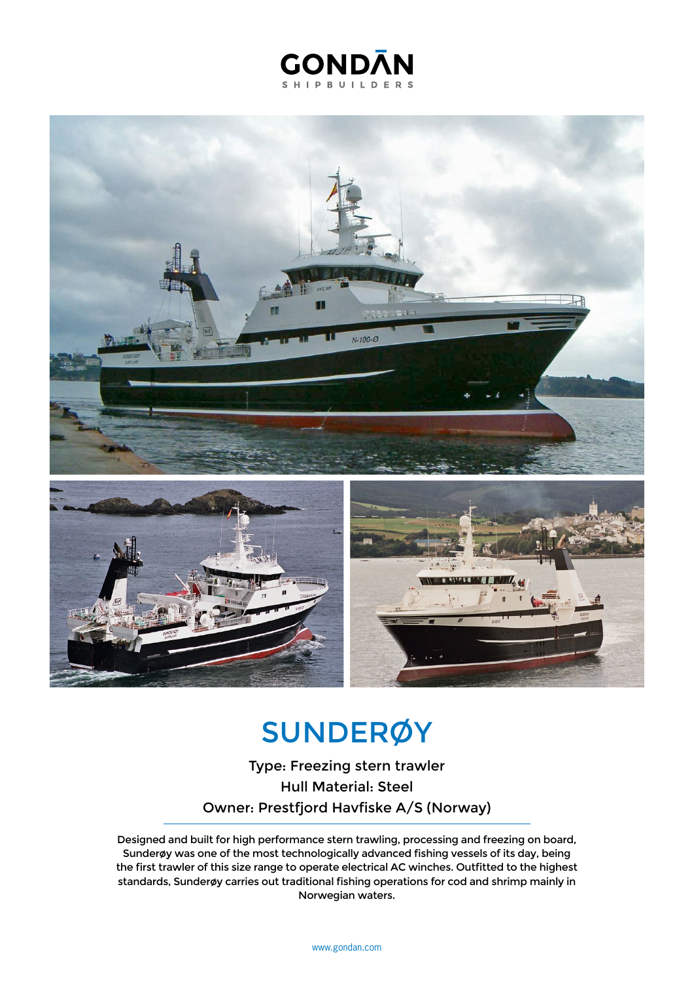## **GONDAN SHIPBUILDERS**



## **SUNDERØY**

Type: Freezing stern trawler Hull Material: Steel Owner: Prestfjord Havfiske A/S (Norway)

Designed and built for high performance stern trawling, processing and freezing on board, Sunderøy was one of the most technologically advanced fishing vessels of its day, being the first trawler of this size range to operate electrical AC winches. Outfitted to the highest standards, Sunderøy carries out traditional fishing operations for cod and shrimp mainly in Norwegian waters.